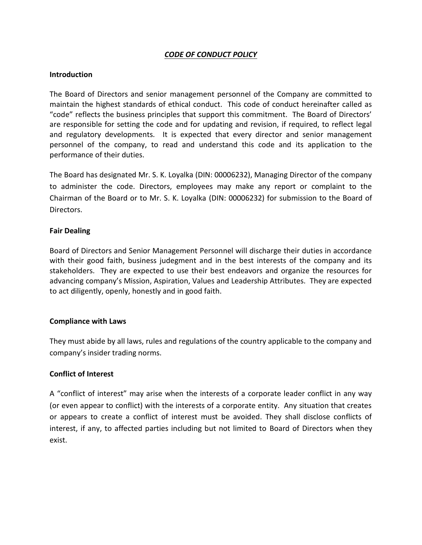# *CODE OF CONDUCT POLICY*

#### **Introduction**

The Board of Directors and senior management personnel of the Company are committed to maintain the highest standards of ethical conduct. This code of conduct hereinafter called as "code" reflects the business principles that support this commitment. The Board of Directors' are responsible for setting the code and for updating and revision, if required, to reflect legal and regulatory developments. It is expected that every director and senior management personnel of the company, to read and understand this code and its application to the performance of their duties.

The Board has designated Mr. S. K. Loyalka (DIN: 00006232), Managing Director of the company to administer the code. Directors, employees may make any report or complaint to the Chairman of the Board or to Mr. S. K. Loyalka (DIN: 00006232) for submission to the Board of Directors.

#### **Fair Dealing**

Board of Directors and Senior Management Personnel will discharge their duties in accordance with their good faith, business judegment and in the best interests of the company and its stakeholders. They are expected to use their best endeavors and organize the resources for advancing company's Mission, Aspiration, Values and Leadership Attributes. They are expected to act diligently, openly, honestly and in good faith.

### **Compliance with Laws**

They must abide by all laws, rules and regulations of the country applicable to the company and company's insider trading norms.

### **Conflict of Interest**

A "conflict of interest" may arise when the interests of a corporate leader conflict in any way (or even appear to conflict) with the interests of a corporate entity. Any situation that creates or appears to create a conflict of interest must be avoided. They shall disclose conflicts of interest, if any, to affected parties including but not limited to Board of Directors when they exist.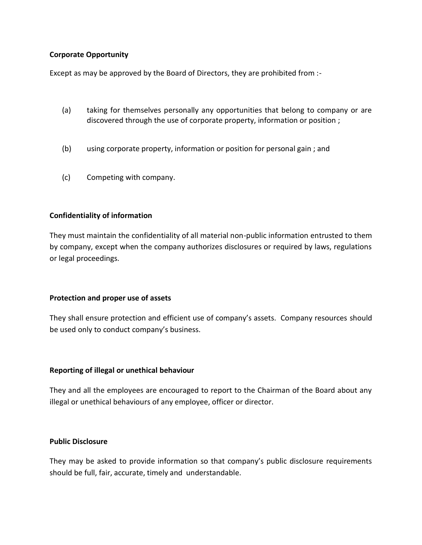### **Corporate Opportunity**

Except as may be approved by the Board of Directors, they are prohibited from :-

- (a) taking for themselves personally any opportunities that belong to company or are discovered through the use of corporate property, information or position ;
- (b) using corporate property, information or position for personal gain ; and
- (c) Competing with company.

## **Confidentiality of information**

They must maintain the confidentiality of all material non-public information entrusted to them by company, except when the company authorizes disclosures or required by laws, regulations or legal proceedings.

### **Protection and proper use of assets**

They shall ensure protection and efficient use of company's assets. Company resources should be used only to conduct company's business.

### **Reporting of illegal or unethical behaviour**

They and all the employees are encouraged to report to the Chairman of the Board about any illegal or unethical behaviours of any employee, officer or director.

### **Public Disclosure**

They may be asked to provide information so that company's public disclosure requirements should be full, fair, accurate, timely and understandable.